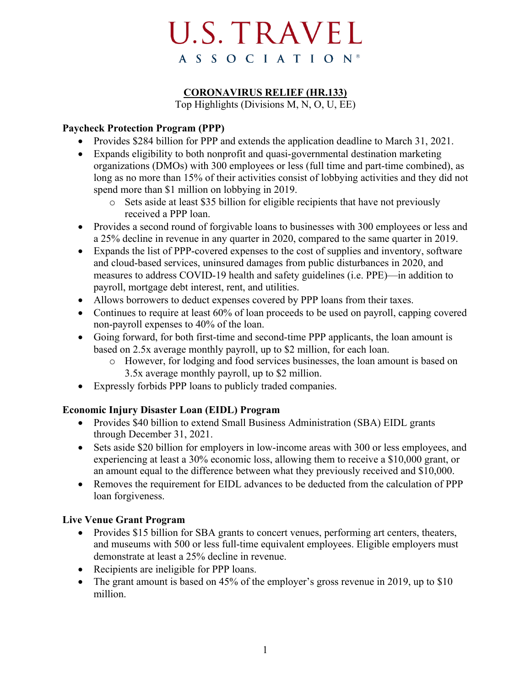# **U.S. TRAVEL** A S S O C I A T I O N<sup>®</sup>

# **CORONAVIRUS RELIEF (HR.133)**

Top Highlights (Divisions M, N, O, U, EE)

# **Paycheck Protection Program (PPP)**

- Provides \$284 billion for PPP and extends the application deadline to March 31, 2021.
- Expands eligibility to both nonprofit and quasi-governmental destination marketing organizations (DMOs) with 300 employees or less (full time and part-time combined), as long as no more than 15% of their activities consist of lobbying activities and they did not spend more than \$1 million on lobbying in 2019.
	- o Sets aside at least \$35 billion for eligible recipients that have not previously received a PPP loan.
- Provides a second round of forgivable loans to businesses with 300 employees or less and a 25% decline in revenue in any quarter in 2020, compared to the same quarter in 2019.
- Expands the list of PPP-covered expenses to the cost of supplies and inventory, software and cloud-based services, uninsured damages from public disturbances in 2020, and measures to address COVID-19 health and safety guidelines (i.e. PPE)—in addition to payroll, mortgage debt interest, rent, and utilities.
- Allows borrowers to deduct expenses covered by PPP loans from their taxes.
- Continues to require at least 60% of loan proceeds to be used on payroll, capping covered non-payroll expenses to 40% of the loan.
- Going forward, for both first-time and second-time PPP applicants, the loan amount is based on 2.5x average monthly payroll, up to \$2 million, for each loan.
	- o However, for lodging and food services businesses, the loan amount is based on 3.5x average monthly payroll, up to \$2 million.
- Expressly forbids PPP loans to publicly traded companies.

# **Economic Injury Disaster Loan (EIDL) Program**

- Provides \$40 billion to extend Small Business Administration (SBA) EIDL grants through December 31, 2021.
- Sets aside \$20 billion for employers in low-income areas with 300 or less employees, and experiencing at least a 30% economic loss, allowing them to receive a \$10,000 grant, or an amount equal to the difference between what they previously received and \$10,000.
- Removes the requirement for EIDL advances to be deducted from the calculation of PPP loan forgiveness.

#### **Live Venue Grant Program**

- Provides \$15 billion for SBA grants to concert venues, performing art centers, theaters, and museums with 500 or less full-time equivalent employees. Eligible employers must demonstrate at least a 25% decline in revenue.
- Recipients are ineligible for PPP loans.
- The grant amount is based on 45% of the employer's gross revenue in 2019, up to \$10 million.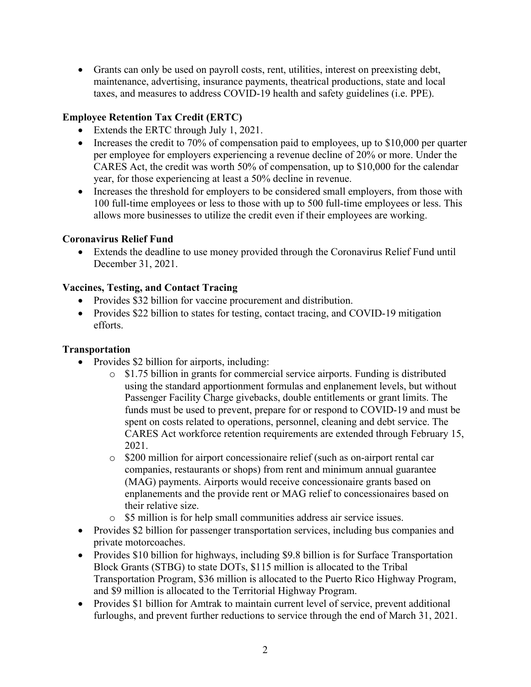• Grants can only be used on payroll costs, rent, utilities, interest on preexisting debt, maintenance, advertising, insurance payments, theatrical productions, state and local taxes, and measures to address COVID-19 health and safety guidelines (i.e. PPE).

# **Employee Retention Tax Credit (ERTC)**

- Extends the ERTC through July 1, 2021.
- Increases the credit to 70% of compensation paid to employees, up to \$10,000 per quarter per employee for employers experiencing a revenue decline of 20% or more. Under the CARES Act, the credit was worth 50% of compensation, up to \$10,000 for the calendar year, for those experiencing at least a 50% decline in revenue.
- Increases the threshold for employers to be considered small employers, from those with 100 full-time employees or less to those with up to 500 full-time employees or less. This allows more businesses to utilize the credit even if their employees are working.

## **Coronavirus Relief Fund**

• Extends the deadline to use money provided through the Coronavirus Relief Fund until December 31, 2021.

#### **Vaccines, Testing, and Contact Tracing**

- Provides \$32 billion for vaccine procurement and distribution.
- Provides \$22 billion to states for testing, contact tracing, and COVID-19 mitigation efforts.

#### **Transportation**

- Provides \$2 billion for airports, including:
	- o \$1.75 billion in grants for commercial service airports. Funding is distributed using the standard apportionment formulas and enplanement levels, but without Passenger Facility Charge givebacks, double entitlements or grant limits. The funds must be used to prevent, prepare for or respond to COVID-19 and must be spent on costs related to operations, personnel, cleaning and debt service. The CARES Act workforce retention requirements are extended through February 15, 2021.
	- o \$200 million for airport concessionaire relief (such as on-airport rental car companies, restaurants or shops) from rent and minimum annual guarantee (MAG) payments. Airports would receive concessionaire grants based on enplanements and the provide rent or MAG relief to concessionaires based on their relative size.
	- o \$5 million is for help small communities address air service issues.
- Provides \$2 billion for passenger transportation services, including bus companies and private motorcoaches.
- Provides \$10 billion for highways, including \$9.8 billion is for Surface Transportation Block Grants (STBG) to state DOTs, \$115 million is allocated to the Tribal Transportation Program, \$36 million is allocated to the Puerto Rico Highway Program, and \$9 million is allocated to the Territorial Highway Program.
- Provides \$1 billion for Amtrak to maintain current level of service, prevent additional furloughs, and prevent further reductions to service through the end of March 31, 2021.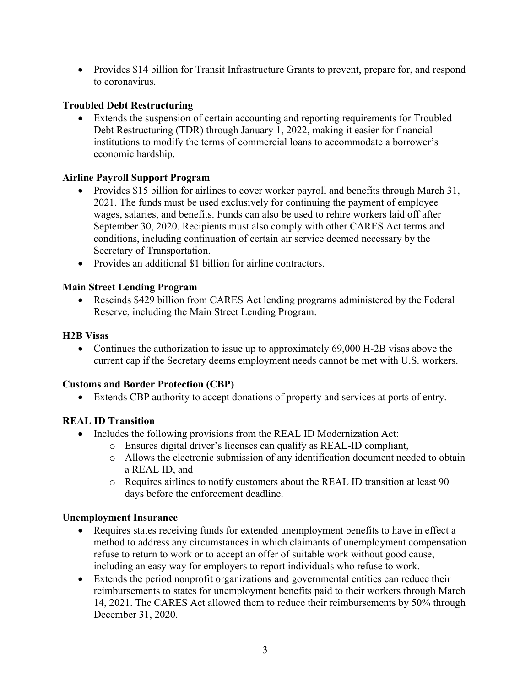• Provides \$14 billion for Transit Infrastructure Grants to prevent, prepare for, and respond to coronavirus.

# **Troubled Debt Restructuring**

• Extends the suspension of certain accounting and reporting requirements for Troubled Debt Restructuring (TDR) through January 1, 2022, making it easier for financial institutions to modify the terms of commercial loans to accommodate a borrower's economic hardship.

## **Airline Payroll Support Program**

- Provides \$15 billion for airlines to cover worker payroll and benefits through March 31, 2021. The funds must be used exclusively for continuing the payment of employee wages, salaries, and benefits. Funds can also be used to rehire workers laid off after September 30, 2020. Recipients must also comply with other CARES Act terms and conditions, including continuation of certain air service deemed necessary by the Secretary of Transportation.
- Provides an additional \$1 billion for airline contractors.

## **Main Street Lending Program**

• Rescinds \$429 billion from CARES Act lending programs administered by the Federal Reserve, including the Main Street Lending Program.

## **H2B Visas**

• Continues the authorization to issue up to approximately 69,000 H-2B visas above the current cap if the Secretary deems employment needs cannot be met with U.S. workers.

#### **Customs and Border Protection (CBP)**

• Extends CBP authority to accept donations of property and services at ports of entry.

# **REAL ID Transition**

- Includes the following provisions from the REAL ID Modernization Act:
	- o Ensures digital driver's licenses can qualify as REAL-ID compliant,
	- o Allows the electronic submission of any identification document needed to obtain a REAL ID, and
	- o Requires airlines to notify customers about the REAL ID transition at least 90 days before the enforcement deadline.

#### **Unemployment Insurance**

- Requires states receiving funds for extended unemployment benefits to have in effect a method to address any circumstances in which claimants of unemployment compensation refuse to return to work or to accept an offer of suitable work without good cause, including an easy way for employers to report individuals who refuse to work.
- Extends the period nonprofit organizations and governmental entities can reduce their reimbursements to states for unemployment benefits paid to their workers through March 14, 2021. The CARES Act allowed them to reduce their reimbursements by 50% through December 31, 2020.